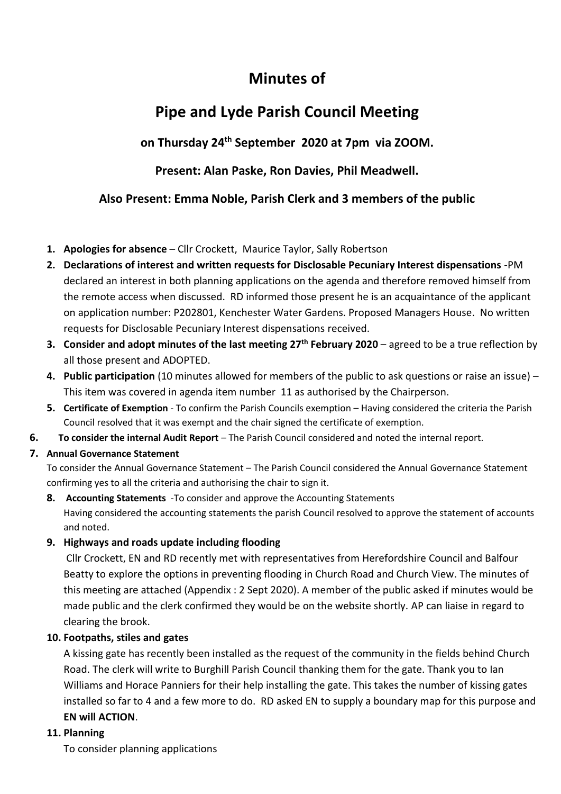## **Minutes of**

# **Pipe and Lyde Parish Council Meeting**

### **on Thursday 24 th September 2020 at 7pm via ZOOM.**

### **Present: Alan Paske, Ron Davies, Phil Meadwell.**

#### **Also Present: Emma Noble, Parish Clerk and 3 members of the public**

- **1. Apologies for absence** Cllr Crockett, Maurice Taylor, Sally Robertson
- **2. Declarations of interest and written requests for Disclosable Pecuniary Interest dispensations** -PM declared an interest in both planning applications on the agenda and therefore removed himself from the remote access when discussed. RD informed those present he is an acquaintance of the applicant on application number: P202801, Kenchester Water Gardens. Proposed Managers House. No written requests for Disclosable Pecuniary Interest dispensations received.
- **3. Consider and adopt minutes of the last meeting 27th February 2020** agreed to be a true reflection by all those present and ADOPTED.
- **4. Public participation** (10 minutes allowed for members of the public to ask questions or raise an issue) This item was covered in agenda item number 11 as authorised by the Chairperson.
- **5. Certificate of Exemption** To confirm the Parish Councils exemption Having considered the criteria the Parish Council resolved that it was exempt and the chair signed the certificate of exemption.
- **6. To consider the internal Audit Report** The Parish Council considered and noted the internal report.
- **7. Annual Governance Statement**

To consider the Annual Governance Statement – The Parish Council considered the Annual Governance Statement confirming yes to all the criteria and authorising the chair to sign it.

**8. Accounting Statements** -To consider and approve the Accounting Statements Having considered the accounting statements the parish Council resolved to approve the statement of accounts and noted.

#### **9. Highways and roads update including flooding**

Cllr Crockett, EN and RD recently met with representatives from Herefordshire Council and Balfour Beatty to explore the options in preventing flooding in Church Road and Church View. The minutes of this meeting are attached (Appendix : 2 Sept 2020). A member of the public asked if minutes would be made public and the clerk confirmed they would be on the website shortly. AP can liaise in regard to clearing the brook.

#### **10. Footpaths, stiles and gates**

A kissing gate has recently been installed as the request of the community in the fields behind Church Road. The clerk will write to Burghill Parish Council thanking them for the gate. Thank you to Ian Williams and Horace Panniers for their help installing the gate. This takes the number of kissing gates installed so far to 4 and a few more to do. RD asked EN to supply a boundary map for this purpose and **EN will ACTION**.

#### **11. Planning**

To consider planning applications